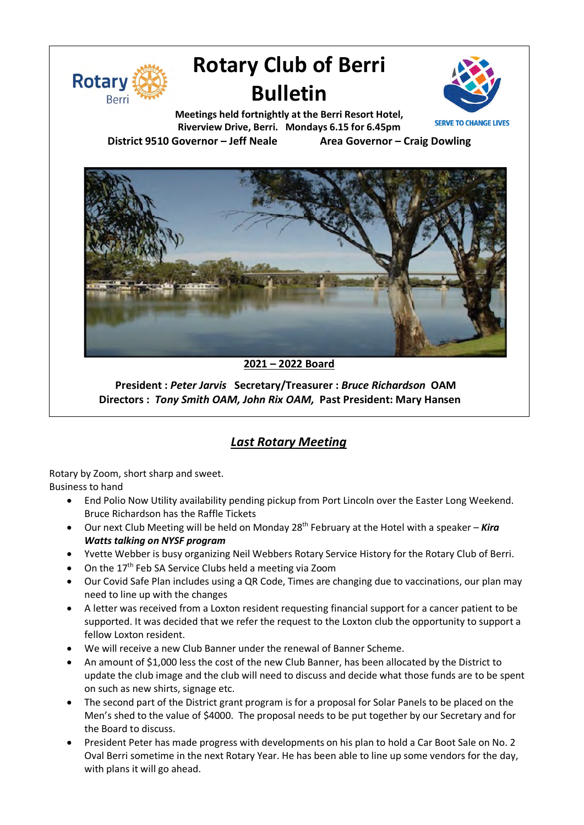

# **Rotary Club of Berri Bulletin**



**Meetings held fortnightly at the Berri Resort Hotel, Riverview Drive, Berri. Mondays 6.15 for 6.45pm District 9510 Governor – Jeff Neale Area Governor – Craig Dowling**



**2021 – 2022 Board**

**President :** *Peter Jarvis* **Secretary/Treasurer :** *Bruce Richardson* **OAM Directors :** *Tony Smith OAM, John Rix OAM,* **Past President: Mary Hansen**

## *Last Rotary Meeting*

Rotary by Zoom, short sharp and sweet. Business to hand

- End Polio Now Utility availability pending pickup from Port Lincoln over the Easter Long Weekend. Bruce Richardson has the Raffle Tickets
- Our next Club Meeting will be held on Monday 28<sup>th</sup> February at the Hotel with a speaker **Kira** *Watts talking on NYSF program*
- Yvette Webber is busy organizing Neil Webbers Rotary Service History for the Rotary Club of Berri.
- On the 17<sup>th</sup> Feb SA Service Clubs held a meeting via Zoom
- Our Covid Safe Plan includes using a QR Code, Times are changing due to vaccinations, our plan may need to line up with the changes
- A letter was received from a Loxton resident requesting financial support for a cancer patient to be supported. It was decided that we refer the request to the Loxton club the opportunity to support a fellow Loxton resident.
- We will receive a new Club Banner under the renewal of Banner Scheme.
- An amount of \$1,000 less the cost of the new Club Banner, has been allocated by the District to update the club image and the club will need to discuss and decide what those funds are to be spent on such as new shirts, signage etc.
- The second part of the District grant program is for a proposal for Solar Panels to be placed on the Men's shed to the value of \$4000. The proposal needs to be put together by our Secretary and for the Board to discuss.
- President Peter has made progress with developments on his plan to hold a Car Boot Sale on No. 2 Oval Berri sometime in the next Rotary Year. He has been able to line up some vendors for the day, with plans it will go ahead.